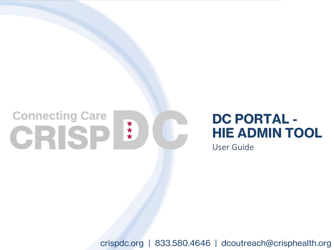# **Connecting Care** CRISP<sup>!</sup>

# **DC PORTAL - HIE ADMIN TOOL**

User Guide

crispdc.org | 833.580.4646 | dcoutreach@crisphealth.org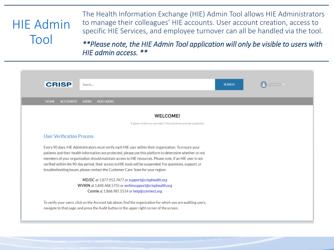# HIE Admin Tool

The Health Information Exchange (HIE) Admin Tool allows HIE Administrators to manage their colleagues' HIE accounts. User account creation, access to specific HIE Services, and employee turnover can all be handled via the tool.

*\*\*Please note, the HIE Admin Tool application will only be visible to users with HIE admin access. \*\**

| <b>CRISP</b>                     | Search                                                                                                                                                                                                                 |                                                               | <b>SEARCH</b> | <b>JOI PERRY</b> |
|----------------------------------|------------------------------------------------------------------------------------------------------------------------------------------------------------------------------------------------------------------------|---------------------------------------------------------------|---------------|------------------|
| <b>HOME</b><br><b>ACCOUNTS</b>   | <b>ADD USERS</b><br><b>USERS</b>                                                                                                                                                                                       |                                                               |               |                  |
|                                  |                                                                                                                                                                                                                        | <b>WELCOME!</b>                                               |               |                  |
|                                  |                                                                                                                                                                                                                        | A place where you can easily find solutions and ask questions |               |                  |
| <b>User Verification Process</b> |                                                                                                                                                                                                                        |                                                               |               |                  |
|                                  | Every 90 days, HIE Administrators must verify each HIE user within their organization. To ensure your                                                                                                                  |                                                               |               |                  |
|                                  | patients and their health information are protected, please use this platform to determine whether or not                                                                                                              |                                                               |               |                  |
|                                  | members of your organization should maintain access to HIE resources. Please note, if an HIE user is not<br>verified within the 90-day period, their access to HIE tools will be suspended. For questions, support, or |                                                               |               |                  |
|                                  | troubleshooting issues, please contact the Customer Care Team for your region:                                                                                                                                         |                                                               |               |                  |
|                                  | MD/DC at 1.877.952.7477 or support@crisphealth.org                                                                                                                                                                     |                                                               |               |                  |
|                                  | WVHIN at 1.844.468.5755 or wyhinsupport@crisphealth.org                                                                                                                                                                |                                                               |               |                  |
|                                  | Connie at 1.866.987.5514 or help@conniect.org                                                                                                                                                                          |                                                               |               |                  |
|                                  | To verify your users, click on the Account tab above, find the organization for which you are auditing users,                                                                                                          |                                                               |               |                  |
|                                  | navigate to that page, and press the Audit button in the upper right corner of the screen.                                                                                                                             |                                                               |               |                  |
|                                  |                                                                                                                                                                                                                        |                                                               |               |                  |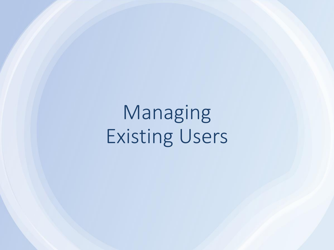Managing Existing Users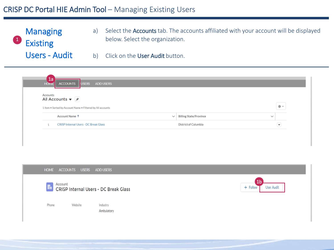# CRISP DC Portal HIE Admin Tool – Managing Existing Users

1 **Managing** Existing Users - Audit a) Select the Accounts tab. The accounts affiliated with your account will be displayed below. Select the organization.

1b

**User Audit** 

b) Click on the User Audit button.

| 1a<br>ACCOUNTS USERS ADD USERS<br><b>HOME</b>                                                                              |                                               |                         |
|----------------------------------------------------------------------------------------------------------------------------|-----------------------------------------------|-------------------------|
| Accounts<br>All Accounts $\blacktriangledown$ $\cancel{\pi}$<br>1 item . Sorted by Account Name . Filtered by All accounts |                                               | 晾 -                     |
| Account Name 1                                                                                                             | <b>Billing State/Province</b><br>$\checkmark$ | $\checkmark$            |
| <b>CRISP Internal Users - DC Break Glass</b>                                                                               | <b>District of Columbia</b>                   | $\overline{\mathbf{v}}$ |

#### **HOME ACCOUNTS USERS ADD USERS**

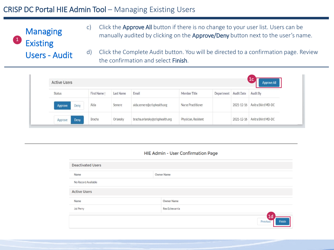# CRISP DC Portal HIE Admin Tool – Managing Existing Users

**Managing Existing** Users - Audit 1

c) Click the Approve All button if there is no change to your user list. Users can be manually audited by clicking on the **Approve/Deny** button next to the user's name.

d) Click the Complete Audit button. You will be directed to a confirmation page. Review the confirmation and select Finish.

| <b>Active Users</b> |              |           |                                 |                     |                       |            | 1 <sub>c</sub><br>Approve All |
|---------------------|--------------|-----------|---------------------------------|---------------------|-----------------------|------------|-------------------------------|
| Status              | First Name 1 | Last Name | Email                           | Member Title        | Department Audit Date |            | Audit By                      |
| Deny<br>Approve     | Aida         | Semere    | aida.semere@crisphealth.org     | Nurse Practitioner  |                       | 2021-12-16 | Anitra Shird MD-DC            |
| Approve<br>Deny     | Bracha       | Orlansky  | bracha.orlansky@crisphealth.org | Physician, Resident |                       | 2021-12-16 | Anitra Shird MD-DC            |

#### HIE Admin - User Confirmation Page

| <b>Deactivated Users</b> |                                      |
|--------------------------|--------------------------------------|
| Name                     | <b>Owner Name</b>                    |
| No Record Available      |                                      |
| <b>Active Users</b>      |                                      |
| Name                     | <b>Owner Name</b>                    |
| Joi Perry                | Rex Echevarria                       |
|                          | 1 <sub>d</sub><br>Finish<br>Previous |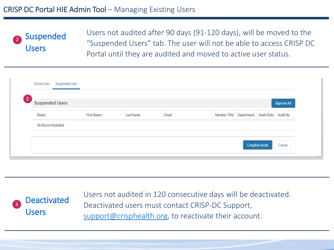# CRISP DC Portal HIE Admin Tool – Managing Existing Users



Users not audited after 90 days (91-120 days), will be moved to the "Suspended Users" tab. The user will not be able to access CRISP DC Portal until they are audited and moved to active user status.

| <b>Active User</b>                            | <b>Suspended User</b> |              |                  |       |                                             |                       |                    |
|-----------------------------------------------|-----------------------|--------------|------------------|-------|---------------------------------------------|-----------------------|--------------------|
| $\lfloor 2 \rfloor$<br><b>Suspended Users</b> |                       |              |                  |       |                                             |                       | <b>Approve All</b> |
| <b>Status</b>                                 |                       | First Name 1 | <b>Last Name</b> | Email | Member Title Department Audit Date Audit By |                       |                    |
| No Record Available                           |                       |              |                  |       |                                             |                       |                    |
|                                               |                       |              |                  |       |                                             | <b>Complete Audit</b> | Cancel             |



Users not audited in 120 consecutive days will be deactivated. Deactivated users must contact CRISP-DC Support, [support@crisphealth.org](mailto:support@crisphealth.org), to reactivate their account.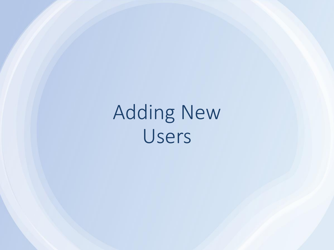# Adding New Users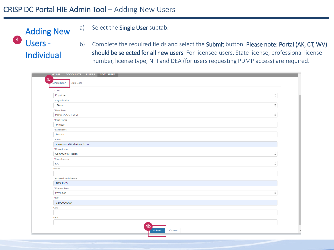### CRISP DC Portal HIE Admin Tool – Adding New Users

a) Select the Single User subtab.



b) Complete the required fields and select the Submit button. Please note: Portal (AK, CT, WV) should be selected for all new users. For licensed users, State license, professional license number, license type, NPI and DEA (for users requesting PDMP access) are required.

| $\hat{\div}$<br>$\blacktriangle$<br>$\overline{\mathbf{v}}$<br>$\blacktriangle$<br>$\boldsymbol{\mathrm{v}}$ |
|--------------------------------------------------------------------------------------------------------------|
|                                                                                                              |
|                                                                                                              |
|                                                                                                              |
|                                                                                                              |
|                                                                                                              |
|                                                                                                              |
|                                                                                                              |
|                                                                                                              |
|                                                                                                              |
|                                                                                                              |
|                                                                                                              |
|                                                                                                              |
| $\blacktriangle$<br>$\scriptstyle\overline{\phantom{a}}$                                                     |
|                                                                                                              |
| ٠<br>$\overline{\phantom{a}}$                                                                                |
|                                                                                                              |
|                                                                                                              |
|                                                                                                              |
|                                                                                                              |
|                                                                                                              |
| $\blacktriangle$<br>$\mathbf{v}$                                                                             |
|                                                                                                              |
|                                                                                                              |
|                                                                                                              |
|                                                                                                              |
|                                                                                                              |
|                                                                                                              |